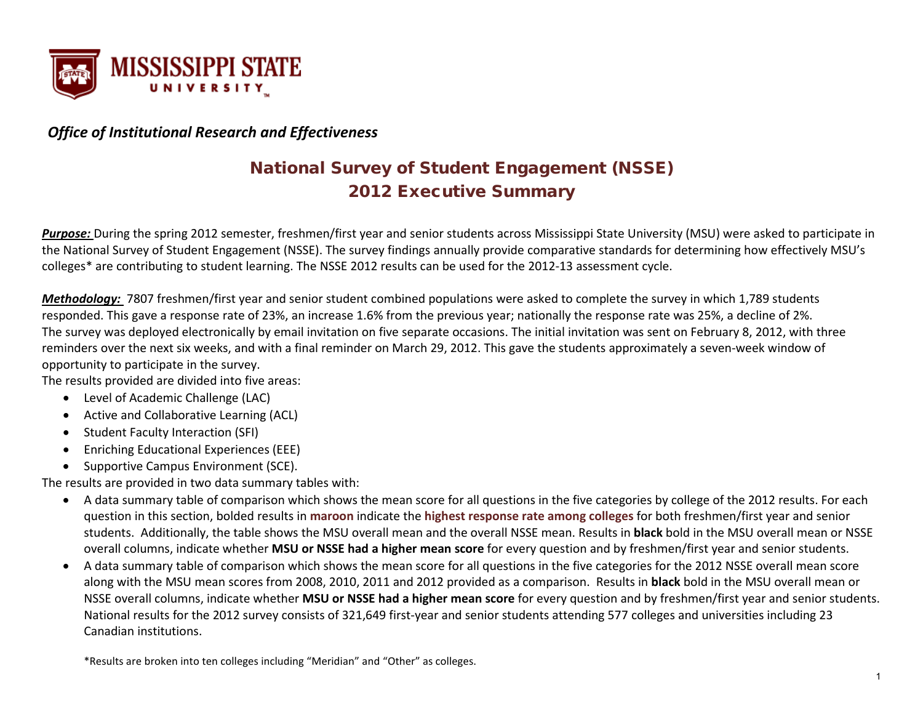

## *Office of Institutional Research and Effectiveness*

# National Survey of Student Engagement (NSSE) 2012 Executive Summary

*Purpose:* During the spring 2012 semester, freshmen/first year and senior students across Mississippi State University (MSU) were asked to participate in the National Survey of Student Engagement (NSSE). The survey findings annually provide comparative standards for determining how effectively MSU's colleges\* are contributing to student learning. The NSSE 2012 results can be used for the 2012-13 assessment cycle.

*Methodology:* 7807 freshmen/first year and senior student combined populations were asked to complete the survey in which 1,789 students responded. This gave a response rate of 23%, an increase 1.6% from the previous year; nationally the response rate was 25%, a decline of 2%. The survey was deployed electronically by email invitation on five separate occasions. The initial invitation was sent on February 8, 2012, with three reminders over the next six weeks, and with a final reminder on March 29, 2012. This gave the students approximately a seven-week window of opportunity to participate in the survey.

The results provided are divided into five areas:

- Level of Academic Challenge (LAC)
- Active and Collaborative Learning (ACL)
- Student Faculty Interaction (SFI)
- Enriching Educational Experiences (EEE)
- Supportive Campus Environment (SCE).

The results are provided in two data summary tables with:

- A data summary table of comparison which shows the mean score for all questions in the five categories by college of the 2012 results. For each question in this section, bolded results in **maroon** indicate the **highest response rate among colleges** for both freshmen/first year and senior students. Additionally, the table shows the MSU overall mean and the overall NSSE mean. Results in **black** bold in the MSU overall mean or NSSE overall columns, indicate whether **MSU or NSSE had a higher mean score** for every question and by freshmen/first year and senior students.
- A data summary table of comparison which shows the mean score for all questions in the five categories for the 2012 NSSE overall mean score along with the MSU mean scores from 2008, 2010, 2011 and 2012 provided as a comparison. Results in **black** bold in the MSU overall mean or NSSE overall columns, indicate whether **MSU or NSSE had a higher mean score** for every question and by freshmen/first year and senior students. National results for the 2012 survey consists of 321,649 first-year and senior students attending 577 colleges and universities including 23 Canadian institutions.

\*Results are broken into ten colleges including "Meridian" and "Other" as colleges.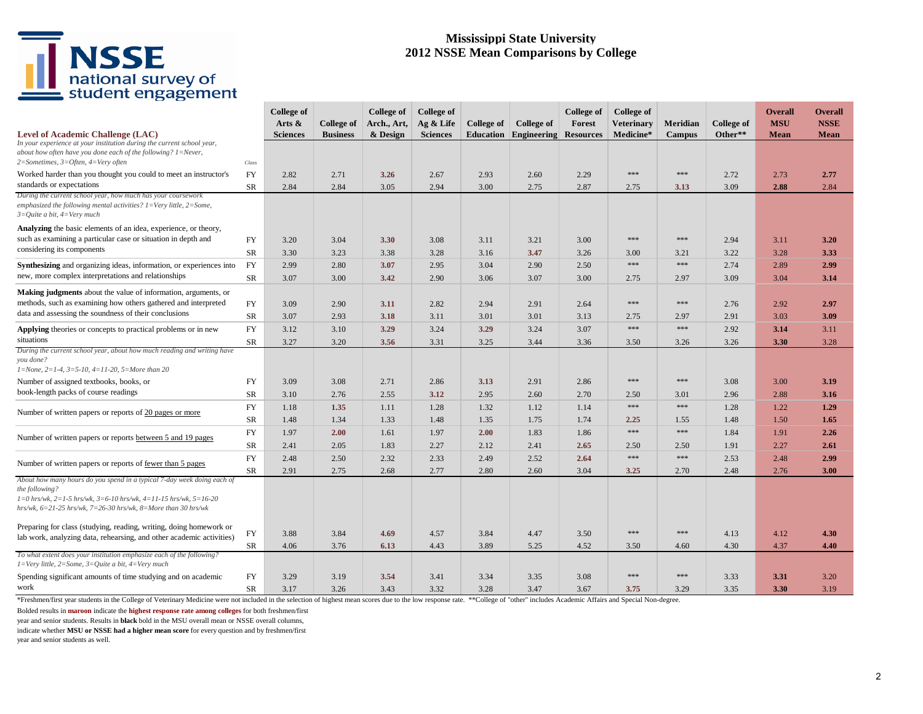#### **Mississippi State University 2012 NSSE Mean Comparisons by College**

|                                                                                                                                                                                                                                                 |           | <b>College of</b><br>Arts $\&$ | College of      | College of<br>Arch., Art, | <b>College of</b><br>Ag & Life | College of | College of  | College of<br>Forest | College of<br><b>Veterinary</b> | Meridian      | College of | <b>Overall</b><br><b>MSU</b> | Overall<br><b>NSSE</b> |
|-------------------------------------------------------------------------------------------------------------------------------------------------------------------------------------------------------------------------------------------------|-----------|--------------------------------|-----------------|---------------------------|--------------------------------|------------|-------------|----------------------|---------------------------------|---------------|------------|------------------------------|------------------------|
| Level of Academic Challenge (LAC)<br>In your experience at your institution during the current school year,<br>about how often have you done each of the following? $l = Never$ ,<br>$2=Sometimes, 3=Often, 4=Very often$                       | Class     | <b>Sciences</b>                | <b>Business</b> | & Design                  | <b>Sciences</b>                | Education  | Engineering | <b>Resources</b>     | Medicine*                       | <b>Campus</b> | Other**    | Mean                         | <b>Mean</b>            |
| Worked harder than you thought you could to meet an instructor's<br>standards or expectations                                                                                                                                                   | <b>FY</b> | 2.82                           | 2.71            | 3.26                      | 2.67                           | 2.93       | 2.60        | 2.29                 | $***$                           | ***           | 2.72       | 2.73                         | 2.77                   |
| During the current school year, how much has your coursework                                                                                                                                                                                    | SR        | 2.84                           | 2.84            | 3.05                      | 2.94                           | 3.00       | 2.75        | 2.87                 | 2.75                            | 3.13          | 3.09       | 2.88                         | 2.84                   |
| emphasized the following mental activities? $1 = \text{Very little}, 2 = \text{Some},$<br>$3=Q$ uite a bit, $4=Verv$ much                                                                                                                       |           |                                |                 |                           |                                |            |             |                      |                                 |               |            |                              |                        |
| Analyzing the basic elements of an idea, experience, or theory,                                                                                                                                                                                 |           |                                |                 |                           |                                |            |             |                      |                                 |               |            |                              |                        |
| such as examining a particular case or situation in depth and                                                                                                                                                                                   | <b>FY</b> | 3.20                           | 3.04            | 3.30                      | 3.08                           | 3.11       | 3.21        | 3.00                 | $***$                           | $***$         | 2.94       | 3.11                         | 3.20                   |
| considering its components                                                                                                                                                                                                                      | SR        | 3.30                           | 3.23            | 3.38                      | 3.28                           | 3.16       | 3.47        | 3.26                 | 3.00                            | 3.21          | 3.22       | 3.28                         | 3.33                   |
| <b>Synthesizing</b> and organizing ideas, information, or experiences into                                                                                                                                                                      | FY        | 2.99                           | 2.80            | 3.07                      | 2.95                           | 3.04       | 2.90        | 2.50                 | ***                             | ***           | 2.74       | 2.89                         | 2.99                   |
| new, more complex interpretations and relationships                                                                                                                                                                                             | SR        | 3.07                           | 3.00            | 3.42                      | 2.90                           | 3.06       | 3.07        | 3.00                 | 2.75                            | 2.97          | 3.09       | 3.04                         | 3.14                   |
| <b>Making judgments</b> about the value of information, arguments, or                                                                                                                                                                           |           |                                |                 |                           |                                |            |             |                      |                                 |               |            |                              |                        |
| methods, such as examining how others gathered and interpreted                                                                                                                                                                                  | FY        | 3.09                           | 2.90            | 3.11                      | 2.82                           | 2.94       | 2.91        | 2.64                 | ***                             | ***           | 2.76       | 2.92                         | 2.97                   |
| data and assessing the soundness of their conclusions                                                                                                                                                                                           | <b>SR</b> | 3.07                           | 2.93            | 3.18                      | 3.11                           | 3.01       | 3.01        | 3.13                 | 2.75                            | 2.97          | 2.91       | 3.03                         | 3.09                   |
| Applying theories or concepts to practical problems or in new                                                                                                                                                                                   | FY        | 3.12                           | 3.10            | 3.29                      | 3.24                           | 3.29       | 3.24        | 3.07                 | ***                             | ***           | 2.92       | 3.14                         | 3.11                   |
| situations                                                                                                                                                                                                                                      | SR        | 3.27                           | 3.20            | 3.56                      | 3.31                           | 3.25       | 3.44        | 3.36                 | 3.50                            | 3.26          | 3.26       | 3.30                         | 3.28                   |
| During the current school year, about how much reading and writing have                                                                                                                                                                         |           |                                |                 |                           |                                |            |             |                      |                                 |               |            |                              |                        |
| you done?<br>$1 = None$ , $2 = 1-4$ , $3 = 5-10$ , $4 = 11-20$ , $5 = More than 20$                                                                                                                                                             |           |                                |                 |                           |                                |            |             |                      |                                 |               |            |                              |                        |
| Number of assigned textbooks, books, or                                                                                                                                                                                                         | FY        | 3.09                           | 3.08            | 2.71                      | 2.86                           | 3.13       | 2.91        | 2.86                 | ***                             | ***           | 3.08       | 3.00                         | 3.19                   |
| book-length packs of course readings                                                                                                                                                                                                            | <b>SR</b> | 3.10                           | 2.76            | 2.55                      | 3.12                           | 2.95       | 2.60        | 2.70                 | 2.50                            | 3.01          | 2.96       | 2.88                         | 3.16                   |
| Number of written papers or reports of 20 pages or more                                                                                                                                                                                         | FY        | 1.18                           | 1.35            | 1.11                      | 1.28                           | 1.32       | 1.12        | 1.14                 | ***                             | $***$         | 1.28       | 1.22                         | 1.29                   |
|                                                                                                                                                                                                                                                 | SR        | 1.48                           | 1.34            | 1.33                      | 1.48                           | 1.35       | 1.75        | 1.74                 | 2.25                            | 1.55          | 1.48       | 1.50                         | 1.65                   |
|                                                                                                                                                                                                                                                 | <b>FY</b> | 1.97                           | 2.00            | 1.61                      | 1.97                           | 2.00       | 1.83        | 1.86                 | ***                             | ***           | 1.84       | 1.91                         | 2.26                   |
| Number of written papers or reports between 5 and 19 pages                                                                                                                                                                                      | SR        | 2.41                           | 2.05            | 1.83                      | 2.27                           | 2.12       | 2.41        | 2.65                 | 2.50                            | 2.50          | 1.91       | 2.27                         | 2.61                   |
|                                                                                                                                                                                                                                                 | <b>FY</b> | 2.48                           | 2.50            | 2.32                      | 2.33                           | 2.49       | 2.52        | 2.64                 | ***                             | ***           | 2.53       | 2.48                         | 2.99                   |
| Number of written papers or reports of fewer than 5 pages                                                                                                                                                                                       | <b>SR</b> | 2.91                           | 2.75            | 2.68                      | 2.77                           | 2.80       | 2.60        | 3.04                 | 3.25                            | 2.70          | 2.48       | 2.76                         | 3.00                   |
| About how many hours do you spend in a typical 7-day week doing each of<br>the following?<br>$I=0$ hrs/wk, $2=1-5$ hrs/wk, $3=6-10$ hrs/wk, $4=11-15$ hrs/wk, $5=16-20$<br>hrs/wk, $6=21-25$ hrs/wk, $7=26-30$ hrs/wk, $8=$ More than 30 hrs/wk |           |                                |                 |                           |                                |            |             |                      |                                 |               |            |                              |                        |
|                                                                                                                                                                                                                                                 |           |                                |                 |                           |                                |            |             |                      |                                 |               |            |                              |                        |
| Preparing for class (studying, reading, writing, doing homework or<br>lab work, analyzing data, rehearsing, and other academic activities)                                                                                                      | FY        | 3.88                           | 3.84            | 4.69                      | 4.57                           | 3.84       | 4.47        | 3.50                 | ***                             | ***           | 4.13       | 4.12                         | 4.30                   |
| To what extent does your institution emphasize each of the following?<br>$I=Very$ little, 2=Some, 3=Quite a bit, 4=Very much                                                                                                                    | SR        | 4.06                           | 3.76            | 6.13                      | 4.43                           | 3.89       | 5.25        | 4.52                 | 3.50                            | 4.60          | 4.30       | 4.37                         | 4.40                   |
| Spending significant amounts of time studying and on academic                                                                                                                                                                                   | FY        | 3.29                           | 3.19            | 3.54                      | 3.41                           | 3.34       | 3.35        | 3.08                 | ***                             | ***           | 3.33       | 3.31                         | 3.20                   |
| work                                                                                                                                                                                                                                            | SR        | 3.17                           | 3.26            | 3.43                      | 3.32                           | 3.28       | 3.47        | 3.67                 | 3.75                            | 3.29          | 3.35       | 3.30                         | 3.19                   |

\*Freshmen/first year students in the College of Veterinary Medicine were not included in the selection of highest mean scores due to the low response rate. \*\*College of "other" includes Academic Affairs and Special Non-deg

Bolded results in **maroon** indicate the **highest response rate among colleges** for both freshmen/first

year and senior students. Results in **black** bold in the MSU overall mean or NSSE overall columns,

indicate whether **MSU or NSSE had a higher mean score** for every question and by freshmen/first

year and senior students as well.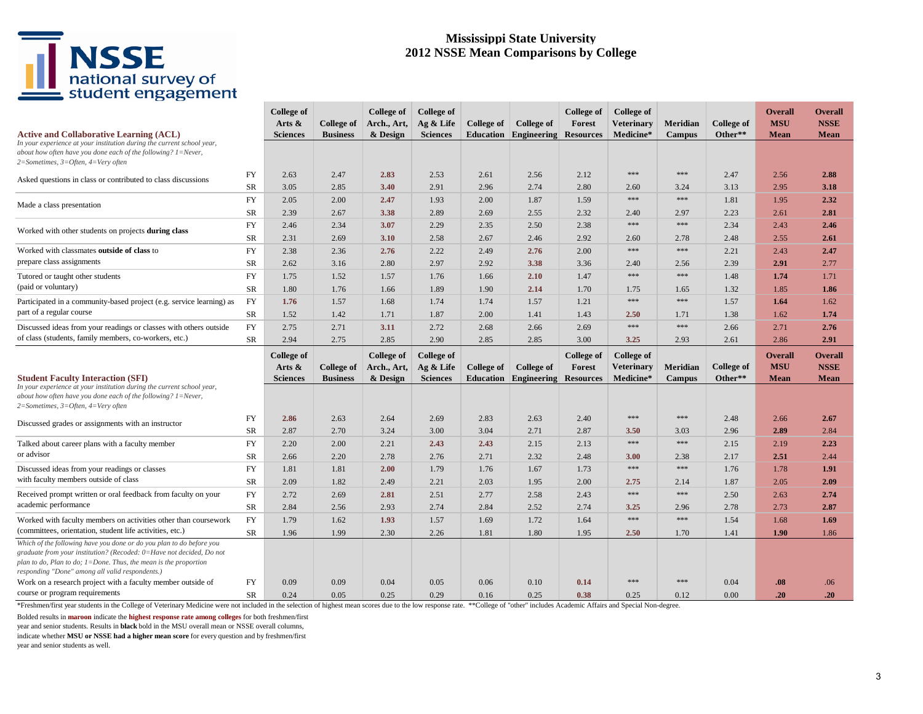#### **Mississippi State University 2012 NSSE Mean Comparisons by College**

| <b>Active and Collaborative Learning (ACL)</b>                                                                                                                                                                                                                      |                 | College of<br>Arts $\&$<br><b>Sciences</b> | College of<br><b>Business</b> | College of<br>Arch., Art,<br>& Design | College of<br>Ag & Life<br><b>Sciences</b> | College of | <b>College of</b><br><b>Education Engineering</b> | College of<br>Forest<br><b>Resources</b> | College of<br><b>Veterinary</b><br>Medicine* | Meridian<br><b>Campus</b> | <b>College of</b><br>Other** | <b>Overall</b><br><b>MSU</b><br>Mean | Overall<br><b>NSSE</b><br><b>Mean</b> |
|---------------------------------------------------------------------------------------------------------------------------------------------------------------------------------------------------------------------------------------------------------------------|-----------------|--------------------------------------------|-------------------------------|---------------------------------------|--------------------------------------------|------------|---------------------------------------------------|------------------------------------------|----------------------------------------------|---------------------------|------------------------------|--------------------------------------|---------------------------------------|
| In your experience at your institution during the current school year,<br>about how often have you done each of the following? $1 =$ Never,<br>2=Sometimes, 3=Often, 4=Very often                                                                                   |                 |                                            |                               |                                       |                                            |            |                                                   |                                          |                                              |                           |                              |                                      |                                       |
| Asked questions in class or contributed to class discussions                                                                                                                                                                                                        | FY              | 2.63                                       | 2.47                          | 2.83                                  | 2.53                                       | 2.61       | 2.56                                              | 2.12                                     | ***                                          | ***                       | 2.47                         | 2.56                                 | 2.88                                  |
|                                                                                                                                                                                                                                                                     | SR              | 3.05                                       | 2.85                          | 3.40                                  | 2.91                                       | 2.96       | 2.74                                              | 2.80                                     | 2.60                                         | 3.24                      | 3.13                         | 2.95                                 | 3.18                                  |
| Made a class presentation                                                                                                                                                                                                                                           | <b>FY</b>       | 2.05                                       | 2.00                          | 2.47                                  | 1.93                                       | 2.00       | 1.87                                              | 1.59                                     | $***$                                        | ***                       | 1.81                         | 1.95                                 | 2.32                                  |
|                                                                                                                                                                                                                                                                     | SR              | 2.39                                       | 2.67                          | 3.38                                  | 2.89                                       | 2.69       | 2.55                                              | 2.32                                     | 2.40                                         | 2.97                      | 2.23                         | 2.61                                 | 2.81                                  |
| Worked with other students on projects during class                                                                                                                                                                                                                 | <b>FY</b>       | 2.46                                       | 2.34                          | 3.07                                  | 2.29                                       | 2.35       | 2.50                                              | 2.38                                     | $***$                                        | ***                       | 2.34                         | 2.43                                 | 2.46                                  |
|                                                                                                                                                                                                                                                                     | SR              | 2.31                                       | 2.69                          | 3.10                                  | 2.58                                       | 2.67       | 2.46                                              | 2.92                                     | 2.60                                         | 2.78                      | 2.48                         | 2.55                                 | 2.61                                  |
| Worked with classmates outside of class to                                                                                                                                                                                                                          | <b>FY</b>       | 2.38                                       | 2.36                          | 2.76                                  | 2.22                                       | 2.49       | 2.76                                              | 2.00                                     | $***$                                        | ***                       | 2.21                         | 2.43                                 | 2.47                                  |
| prepare class assignments                                                                                                                                                                                                                                           | SR              | 2.62                                       | 3.16                          | 2.80                                  | 2.97                                       | 2.92       | 3.38                                              | 3.36                                     | 2.40                                         | 2.56                      | 2.39                         | 2.91                                 | 2.77                                  |
| Tutored or taught other students                                                                                                                                                                                                                                    | <b>FY</b>       | 1.75                                       | 1.52                          | 1.57                                  | 1.76                                       | 1.66       | 2.10                                              | 1.47                                     | $***$                                        | ***                       | 1.48                         | 1.74                                 | 1.71                                  |
| (paid or voluntary)                                                                                                                                                                                                                                                 | <b>SR</b>       | 1.80                                       | 1.76                          | 1.66                                  | 1.89                                       | 1.90       | 2.14                                              | 1.70                                     | 1.75                                         | 1.65                      | 1.32                         | 1.85                                 | 1.86                                  |
| Participated in a community-based project (e.g. service learning) as                                                                                                                                                                                                | FY              | 1.76                                       | 1.57                          | 1.68                                  | 1.74                                       | 1.74       | 1.57                                              | 1.21                                     | ***                                          | ***                       | 1.57                         | 1.64                                 | 1.62                                  |
| part of a regular course                                                                                                                                                                                                                                            | SR              | 1.52                                       | 1.42                          | 1.71                                  | 1.87                                       | 2.00       | 1.41                                              | 1.43                                     | 2.50                                         | 1.71                      | 1.38                         | 1.62                                 | 1.74                                  |
| Discussed ideas from your readings or classes with others outside                                                                                                                                                                                                   | FY              | 2.75                                       | 2.71                          | 3.11                                  | 2.72                                       | 2.68       | 2.66                                              | 2.69                                     | ***                                          | ***                       | 2.66                         | 2.71                                 | 2.76                                  |
| of class (students, family members, co-workers, etc.)                                                                                                                                                                                                               | <b>SR</b>       | 2.94                                       | 2.75                          | 2.85                                  | 2.90                                       | 2.85       | 2.85                                              | 3.00                                     | 3.25                                         | 2.93                      | 2.61                         | 2.86                                 | 2.91                                  |
|                                                                                                                                                                                                                                                                     |                 | College of                                 |                               | College of                            | <b>College of</b>                          |            |                                                   | College of                               | <b>College of</b>                            |                           |                              | <b>Overall</b>                       | Overall                               |
|                                                                                                                                                                                                                                                                     |                 |                                            |                               |                                       |                                            |            |                                                   |                                          |                                              |                           |                              |                                      |                                       |
|                                                                                                                                                                                                                                                                     |                 | Arts $\&$                                  | College of                    | Arch., Art,                           | Ag & Life                                  | College of | <b>College of</b>                                 | Forest                                   | <b>Veterinary</b>                            | Meridian                  | College of                   | <b>MSU</b>                           | <b>NSSE</b>                           |
| <b>Student Faculty Interaction (SFI)</b>                                                                                                                                                                                                                            |                 | <b>Sciences</b>                            | <b>Business</b>               | & Design                              | <b>Sciences</b>                            | Education  | Engineering                                       | <b>Resources</b>                         | Medicine*                                    | Campus                    | Other**                      | Mean                                 | Mean                                  |
| In your experience at your institution during the current school year,<br>about how often have you done each of the following? 1=Never,<br>2=Sometimes, 3=Often, 4=Very often                                                                                       |                 |                                            |                               |                                       |                                            |            |                                                   |                                          |                                              |                           |                              |                                      |                                       |
|                                                                                                                                                                                                                                                                     | <b>FY</b>       | 2.86                                       | 2.63                          | 2.64                                  | 2.69                                       | 2.83       | 2.63                                              | 2.40                                     | ***                                          | ***                       | 2.48                         | 2.66                                 | 2.67                                  |
| Discussed grades or assignments with an instructor                                                                                                                                                                                                                  | SR              | 2.87                                       | 2.70                          | 3.24                                  | 3.00                                       | 3.04       | 2.71                                              | 2.87                                     | 3.50                                         | 3.03                      | 2.96                         | 2.89                                 | 2.84                                  |
| Talked about career plans with a faculty member                                                                                                                                                                                                                     | <b>FY</b>       | 2.20                                       | 2.00                          | 2.21                                  | 2.43                                       | 2.43       | 2.15                                              | 2.13                                     | $***$                                        | $***$                     | 2.15                         | 2.19                                 | 2.23                                  |
| or advisor                                                                                                                                                                                                                                                          | SR              | 2.66                                       | 2.20                          | 2.78                                  | 2.76                                       | 2.71       | 2.32                                              | 2.48                                     | <b>3.00</b>                                  | 2.38                      | 2.17                         | 2.51                                 | 2.44                                  |
| Discussed ideas from your readings or classes                                                                                                                                                                                                                       | <b>FY</b>       | 1.81                                       | 1.81                          | 2.00                                  | 1.79                                       | 1.76       | 1.67                                              | 1.73                                     | ***                                          | ***                       | 1.76                         | 1.78                                 | 1.91                                  |
| with faculty members outside of class                                                                                                                                                                                                                               | SR              | 2.09                                       | 1.82                          | 2.49                                  | 2.21                                       | 2.03       | 1.95                                              | 2.00                                     | 2.75                                         | 2.14                      | 1.87                         | 2.05                                 | 2.09                                  |
| Received prompt written or oral feedback from faculty on your                                                                                                                                                                                                       | FY              | 2.72                                       | 2.69                          | 2.81                                  | 2.51                                       | 2.77       | 2.58                                              | 2.43                                     | $***$                                        | $***$                     | 2.50                         | 2.63                                 | 2.74                                  |
| academic performance                                                                                                                                                                                                                                                | SR              | 2.84                                       | 2.56                          | 2.93                                  | 2.74                                       | 2.84       | 2.52                                              | 2.74                                     | 3.25                                         | 2.96                      | 2.78                         | 2.73                                 | 2.87                                  |
| Worked with faculty members on activities other than coursework                                                                                                                                                                                                     | <b>FY</b>       | 1.79                                       | 1.62                          | 1.93                                  | 1.57                                       | 1.69       | 1.72                                              | 1.64                                     | $***$                                        | $***$                     | 1.54                         | 1.68                                 | 1.69                                  |
| (committees, orientation, student life activities, etc.)                                                                                                                                                                                                            | <b>SR</b>       | 1.96                                       | 1.99                          | 2.30                                  | 2.26                                       | 1.81       | 1.80                                              | 1.95                                     | 2.50                                         | 1.70                      | 1.41                         | 1.90                                 | 1.86                                  |
| Which of the following have you done or do you plan to do before you<br>graduate from your institution? (Recoded: 0=Have not decided, Do not<br>plan to do, Plan to do; 1=Done. Thus, the mean is the proportion<br>responding "Done" among all valid respondents.) |                 |                                            |                               |                                       |                                            |            |                                                   |                                          |                                              |                           |                              |                                      |                                       |
| Work on a research project with a faculty member outside of<br>course or program requirements                                                                                                                                                                       | <b>FY</b><br>SR | 0.09                                       | 0.09                          | 0.04                                  | 0.05                                       | 0.06       | 0.10                                              | 0.14<br>0.38                             | ***                                          | ***                       | 0.04<br>0.00                 | .08                                  | .06<br>.20                            |

\*Freshmen/first year students in the College of Veterinary Medicine were not included in the selection of highest mean scores due to the low response rate. \*\*College of "other" includes Academic Affairs and Special Non-deg

Bolded results in **maroon** indicate the **highest response rate among colleges** for both freshmen/first

year and senior students. Results in **black** bold in the MSU overall mean or NSSE overall columns,

indicate whether **MSU or NSSE had a higher mean score** for every question and by freshmen/first

year and senior students as well.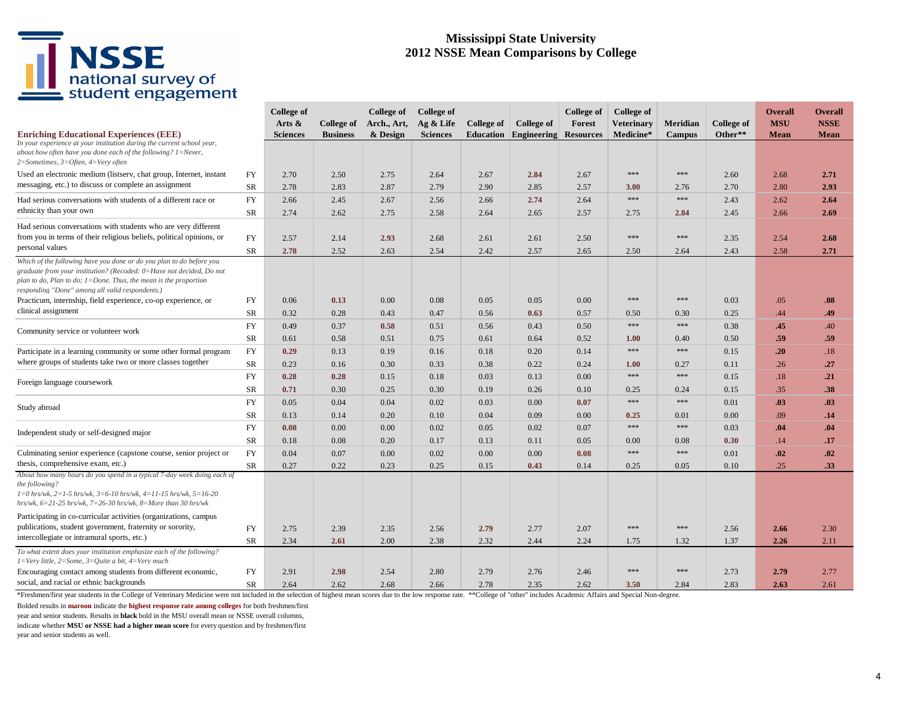#### **Mississippi State University 2012 NSSE Mean Comparisons by College**

| <b>Enriching Educational Experiences (EEE)</b>                                                                                                                                                                                                                                      |                        | <b>College of</b><br>Arts $\&$<br><b>Sciences</b> | College of<br><b>Business</b> | College of<br>Arch., Art,<br>& Design | <b>College of</b><br>Ag & Life<br><b>Sciences</b> | College of   | College of<br><b>Education Engineering</b> | <b>College of</b><br>Forest<br><b>Resources</b> | College of<br><b>Veterinary</b><br>Medicine* | Meridian<br><b>Campus</b> | <b>College of</b><br>Other** | <b>Overall</b><br><b>MSU</b><br><b>Mean</b> | Overall<br><b>NSSE</b><br><b>Mean</b> |
|-------------------------------------------------------------------------------------------------------------------------------------------------------------------------------------------------------------------------------------------------------------------------------------|------------------------|---------------------------------------------------|-------------------------------|---------------------------------------|---------------------------------------------------|--------------|--------------------------------------------|-------------------------------------------------|----------------------------------------------|---------------------------|------------------------------|---------------------------------------------|---------------------------------------|
| In your experience at your institution during the current school year,<br>about how often have you done each of the following? $1 =$ Never,<br>$2=Sometimes, 3=Often, 4=Very often$                                                                                                 |                        |                                                   |                               |                                       |                                                   |              |                                            |                                                 |                                              |                           |                              |                                             |                                       |
| Used an electronic medium (listserv, chat group, Internet, instant<br>messaging, etc.) to discuss or complete an assignment                                                                                                                                                         | <b>FY</b><br><b>SR</b> | 2.70<br>2.78                                      | 2.50<br>2.83                  | 2.75<br>2.87                          | 2.64<br>2.79                                      | 2.67<br>2.90 | 2.84<br>2.85                               | 2.67<br>2.57                                    | ***<br>3.00                                  | ***<br>2.76               | 2.60<br>2.70                 | 2.68<br>2.80                                | 2.71<br>2.93                          |
| Had serious conversations with students of a different race or<br>ethnicity than your own                                                                                                                                                                                           | FY<br><b>SR</b>        | 2.66<br>2.74                                      | 2.45<br>2.62                  | 2.67<br>2.75                          | 2.56<br>2.58                                      | 2.66<br>2.64 | 2.74<br>2.65                               | 2.64<br>2.57                                    | ***<br>2.75                                  | ***<br>2.84               | 2.43<br>2.45                 | 2.62<br>2.66                                | 2.64<br>2.69                          |
| Had serious conversations with students who are very different<br>from you in terms of their religious beliefs, political opinions, or<br>personal values                                                                                                                           | FY<br><b>SR</b>        | 2.57<br>2.78                                      | 2.14<br>2.52                  | 2.93<br>2.63                          | 2.68<br>2.54                                      | 2.61<br>2.42 | 2.61<br>2.57                               | 2.50<br>2.65                                    | ***<br>2.50                                  | ***<br>2.64               | 2.35<br>2.43                 | 2.54<br>2.58                                | 2.68<br>2.71                          |
| Which of the following have you done or do you plan to do before you<br>graduate from your institution? (Recoded: 0=Have not decided, Do not<br>plan to do, Plan to do; $1 =$ Done. Thus, the mean is the proportion<br>responding "Done" among all valid respondents.)             |                        |                                                   |                               |                                       |                                                   |              |                                            |                                                 |                                              |                           |                              |                                             |                                       |
| Practicum, internship, field experience, co-op experience, or<br>clinical assignment                                                                                                                                                                                                | <b>FY</b><br>SR        | 0.06<br>0.32                                      | 0.13<br>0.28                  | 0.00<br>0.43                          | 0.08<br>0.47                                      | 0.05<br>0.56 | 0.05<br>0.63                               | 0.00<br>0.57                                    | ***<br>0.50                                  | ***<br>0.30               | 0.03<br>0.25                 | .05<br>.44                                  | .08<br>.49                            |
| Community service or volunteer work                                                                                                                                                                                                                                                 | <b>FY</b><br>SR        | 0.49<br>0.61                                      | 0.37<br>0.58                  | 0.58<br>0.51                          | 0.51<br>0.75                                      | 0.56<br>0.61 | 0.43<br>0.64                               | 0.50<br>0.52                                    | $***$<br>1.00                                | ***<br>0.40               | 0.38<br>0.50                 | .45<br>.59                                  | .40<br>.59                            |
| Participate in a learning community or some other formal program<br>where groups of students take two or more classes together                                                                                                                                                      | <b>FY</b><br><b>SR</b> | 0.29<br>0.23                                      | 0.13<br>0.16                  | 0.19<br>0.30                          | 0.16<br>0.33                                      | 0.18<br>0.38 | 0.20<br>0.22                               | 0.14<br>0.24                                    | ***<br>1.00                                  | ***<br>0.27               | 0.15<br>0.11                 | .20<br>.26                                  | .18<br>.27                            |
| Foreign language coursework                                                                                                                                                                                                                                                         | <b>FY</b><br>SR        | 0.28<br>0.71                                      | 0.28<br>0.30                  | 0.15<br>0.25                          | 0.18<br>0.30                                      | 0.03<br>0.19 | 0.13<br>0.26                               | 0.00<br>0.10                                    | ***<br>0.25                                  | ***<br>0.24               | 0.15<br>0.15                 | .18<br>.35                                  | .21<br>.38                            |
| Study abroad                                                                                                                                                                                                                                                                        | FY                     | 0.05                                              | 0.04                          | 0.04                                  | 0.02                                              | 0.03         | 0.00                                       | 0.07                                            | ***                                          | ***                       | 0.01                         | .03                                         | .03                                   |
| Independent study or self-designed major                                                                                                                                                                                                                                            | SR<br><b>FY</b>        | 0.13<br>0.08                                      | 0.14<br>0.00                  | 0.20<br>0.00                          | 0.10<br>0.02                                      | 0.04<br>0.05 | 0.09<br>0.02                               | 0.00<br>0.07                                    | 0.25<br>***                                  | 0.01<br>***               | 0.00<br>0.03                 | .09<br>.04                                  | .14<br>.04                            |
| Culminating senior experience (capstone course, senior project or                                                                                                                                                                                                                   | <b>SR</b><br>FY        | 0.18<br>0.04                                      | 0.08<br>0.07                  | 0.20<br>0.00                          | 0.17<br>0.02                                      | 0.13<br>0.00 | 0.11<br>0.00                               | 0.05<br>0.08                                    | 0.00<br>***                                  | 0.08<br>***               | 0.30<br>0.01                 | .14<br>.02                                  | .17<br>.02                            |
| thesis, comprehensive exam, etc.)<br>About how many hours do you spend in a typical 7-day week doing each of<br>the following?<br>$1=0$ hrs/wk, $2=1-5$ hrs/wk, $3=6-10$ hrs/wk, $4=11-15$ hrs/wk, $5=16-20$<br>hrs/wk, $6=21-25$ hrs/wk, $7=26-30$ hrs/wk, $8=More$ than 30 hrs/wk | SR                     | 0.27                                              | 0.22                          | 0.23                                  | 0.25                                              | 0.15         | 0.43                                       | 0.14                                            | 0.25                                         | 0.05                      | 0.10                         | .25                                         | .33                                   |
| Participating in co-curricular activities (organizations, campus<br>publications, student government, fraternity or sorority,<br>intercollegiate or intramural sports, etc.)                                                                                                        | <b>FY</b><br><b>SR</b> | 2.75<br>2.34                                      | 2.39<br>2.61                  | 2.35<br>2.00                          | 2.56<br>2.38                                      | 2.79<br>2.32 | 2.77<br>2.44                               | 2.07<br>2.24                                    | ***<br>1.75                                  | ***<br>1.32               | 2.56<br>1.37                 | 2.66<br>2.26                                | 2.30<br>2.11                          |
| To what extent does your institution emphasize each of the following?<br>$1=$ Very little, $2=$ Some, $3=$ Quite a bit, $4=$ Very much<br>Encouraging contact among students from different economic,                                                                               | FY                     | 2.91                                              | 2.98                          | 2.54                                  | 2.80                                              | 2.79         | 2.76                                       | 2.46                                            | ***                                          | ***                       | 2.73                         | 2.79                                        | 2.77                                  |
| social, and racial or ethnic backgrounds                                                                                                                                                                                                                                            | <b>SR</b>              | 2.64                                              | 2.62                          | 2.68                                  | 2.66                                              | 2.78         | 2.35                                       | 2.62                                            | 3.50                                         | 2.84                      | 2.83                         | 2.63                                        | 2.61                                  |

\*Freshmen/first year students in the College of Veterinary Medicine were not included in the selection of highest mean scores due to the low response rate. \*\*College of "other" includes Academic Affairs and Special Non-deg

Bolded results in **maroon** indicate the **highest response rate among colleges** for both freshmen/first

year and senior students. Results in **black** bold in the MSU overall mean or NSSE overall columns,

indicate whether **MSU or NSSE had a higher mean score** for every question and by freshmen/first

year and senior students as well.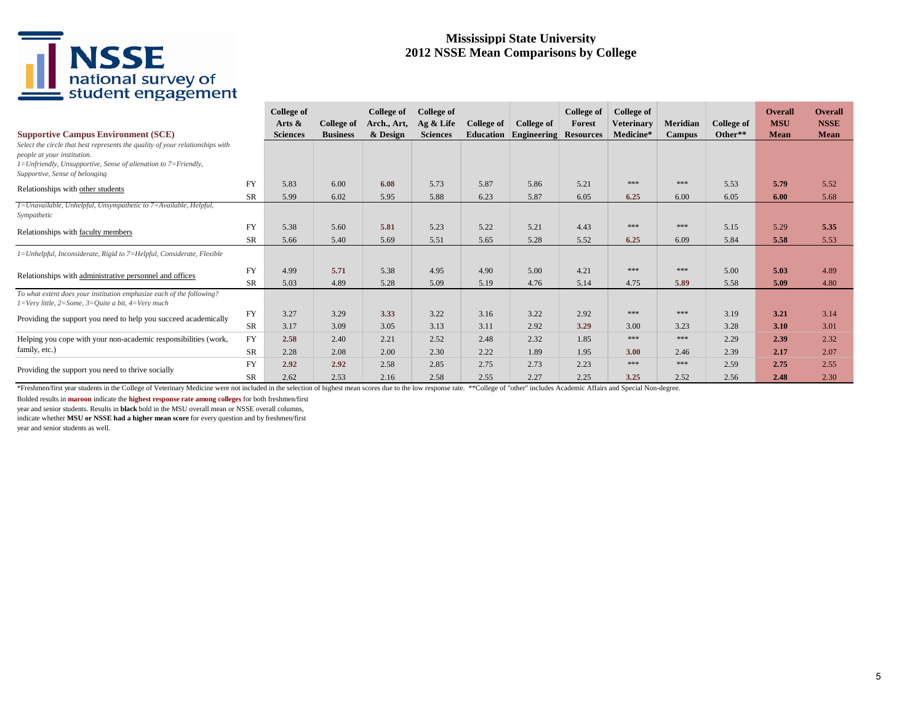#### **Mississippi State University 2012 NSSE Mean Comparisons by College**

| <b>Supportive Campus Environment (SCE)</b>                                                                                                |           | College of<br>Arts $\&$<br><b>Sciences</b> | College of<br><b>Business</b> | College of<br>Arch., Art,<br>& Design | College of<br>$Ag &$ Life<br><b>Sciences</b> | College of<br>Education | College of<br>Engineering | <b>College of</b><br>Forest<br><b>Resources</b> | College of<br><b>Veterinary</b><br>Medicine* | Meridian<br><b>Campus</b> | <b>College of</b><br>Other** | Overall<br><b>MSU</b><br>Mean | <b>Overall</b><br><b>NSSE</b><br><b>Mean</b> |
|-------------------------------------------------------------------------------------------------------------------------------------------|-----------|--------------------------------------------|-------------------------------|---------------------------------------|----------------------------------------------|-------------------------|---------------------------|-------------------------------------------------|----------------------------------------------|---------------------------|------------------------------|-------------------------------|----------------------------------------------|
| Select the circle that best represents the quality of your relationships with                                                             |           |                                            |                               |                                       |                                              |                         |                           |                                                 |                                              |                           |                              |                               |                                              |
| people at your institution.<br>$I = Unfriendly$ , Unsupportive, Sense of alienation to $7 = Friendly$ ,<br>Supportive, Sense of belonging |           |                                            |                               |                                       |                                              |                         |                           |                                                 |                                              |                           |                              |                               |                                              |
| Relationships with other students                                                                                                         | <b>FY</b> | 5.83                                       | 6.00                          | 6.08                                  | 5.73                                         | 5.87                    | 5.86                      | 5.21                                            | ***                                          | ***                       | 5.53                         | 5.79                          | 5.52                                         |
|                                                                                                                                           | <b>SR</b> | 5.99                                       | 6.02                          | 5.95                                  | 5.88                                         | 6.23                    | 5.87                      | 6.05                                            | 6.25                                         | 6.00                      | 6.05                         | 6.00                          | 5.68                                         |
| 1=Unavailable, Unhelpful, Unsympathetic to 7=Available, Helpful,<br>Sympathetic                                                           |           |                                            |                               |                                       |                                              |                         |                           |                                                 |                                              |                           |                              |                               |                                              |
| <b>FY</b><br>Relationships with faculty members<br><b>SR</b>                                                                              |           | 5.38                                       | 5.60                          | 5.81                                  | 5.23                                         | 5.22                    | 5.21                      | 4.43                                            | ***                                          | ***                       | 5.15                         | 5.29                          | 5.35                                         |
|                                                                                                                                           |           | 5.66                                       | 5.40                          | 5.69                                  | 5.51                                         | 5.65                    | 5.28                      | 5.52                                            | 6.25                                         | 6.09                      | 5.84                         | 5.58                          | 5.53                                         |
| 1=Unhelpful, Inconsiderate, Rigid to 7=Helpful, Considerate, Flexible                                                                     |           |                                            |                               |                                       |                                              |                         |                           |                                                 |                                              |                           |                              |                               |                                              |
| Relationships with administrative personnel and offices                                                                                   | <b>FY</b> | 4.99                                       | 5.71                          | 5.38                                  | 4.95                                         | 4.90                    | 5.00                      | 4.21                                            | ***                                          | $***$                     | 5.00                         | 5.03                          | 4.89                                         |
|                                                                                                                                           | <b>SR</b> | 5.03                                       | 4.89                          | 5.28                                  | 5.09                                         | 5.19                    | 4.76                      | 5.14                                            | 4.75                                         | 5.89                      | 5.58                         | 5.09                          | 4.80                                         |
| To what extent does your institution emphasize each of the following?<br>$I=Verv$ little, 2=Some, 3=Quite a bit, 4=Very much              |           |                                            |                               |                                       |                                              |                         |                           |                                                 |                                              |                           |                              |                               |                                              |
| Providing the support you need to help you succeed academically                                                                           | FY        | 3.27                                       | 3.29                          | 3.33                                  | 3.22                                         | 3.16                    | 3.22                      | 2.92                                            | ***                                          | ***                       | 3.19                         | 3.21                          | 3.14                                         |
|                                                                                                                                           | <b>SR</b> | 3.17                                       | 3.09                          | 3.05                                  | 3.13                                         | 3.11                    | 2.92                      | 3.29                                            | 3.00                                         | 3.23                      | 3.28                         | 3.10                          | 3.01                                         |
| Helping you cope with your non-academic responsibilities (work,                                                                           | <b>FY</b> | 2.58                                       | 2.40                          | 2.21                                  | 2.52                                         | 2.48                    | 2.32                      | 1.85                                            | ***                                          | ***                       | 2.29                         | 2.39                          | 2.32                                         |
| family, etc.)                                                                                                                             | <b>SR</b> | 2.28                                       | 2.08                          | 2.00                                  | 2.30                                         | 2.22                    | 1.89                      | 1.95                                            | 3.00                                         | 2.46                      | 2.39                         | 2.17                          | 2.07                                         |
| Providing the support you need to thrive socially                                                                                         | FY        | 2.92                                       | 2.92                          | 2.58                                  | 2.85                                         | 2.75                    | 2.73                      | 2.23                                            | ***                                          | ***                       | 2.59                         | 2.75                          | 2.55                                         |
|                                                                                                                                           | <b>SR</b> | 2.62                                       | 2.53                          | 2.16                                  | 2.58                                         | 2.55                    | 2.27                      | 2.25                                            | 3.25                                         | 2.52                      | 2.56                         | 2.48                          | 2.30                                         |

\*Freshmen/first year students in the College of Veterinary Medicine were not included in the selection of highest mean scores due to the low response rate. \*\*College of "other" includes Academic Affairs and Special Non-deg

Bolded results in **maroon** indicate the **highest response rate among colleges** for both freshmen/first

year and senior students. Results in **black** bold in the MSU overall mean or NSSE overall columns,

indicate whether **MSU or NSSE had a higher mean score** for every question and by freshmen/first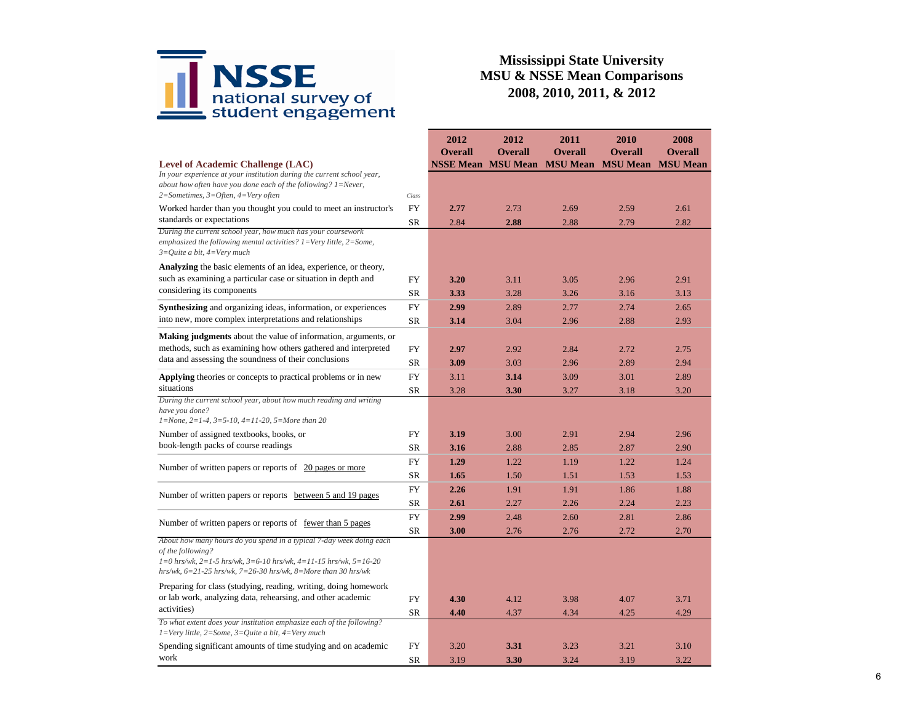

|                                                                                                                                                                                                                                                 |           | 2012<br><b>Overall</b> | 2012<br><b>Overall</b>    | 2011<br><b>Overall</b> | 2010<br><b>Overall</b> | 2008<br><b>Overall</b> |
|-------------------------------------------------------------------------------------------------------------------------------------------------------------------------------------------------------------------------------------------------|-----------|------------------------|---------------------------|------------------------|------------------------|------------------------|
| Level of Academic Challenge (LAC)                                                                                                                                                                                                               |           |                        | <b>NSSE Mean MSU Mean</b> | <b>MSU Mean</b>        | <b>MSU</b> Mean        | <b>MSU</b> Mean        |
| In your experience at your institution during the current school year,<br>about how often have you done each of the following? $1 =$ Never,                                                                                                     |           |                        |                           |                        |                        |                        |
| $2 = Sometimes, 3 = Often, 4 = Very often$                                                                                                                                                                                                      | Class     |                        |                           |                        |                        |                        |
| Worked harder than you thought you could to meet an instructor's                                                                                                                                                                                | FY        | 2.77                   | 2.73                      | 2.69                   | 2.59                   | 2.61                   |
| standards or expectations                                                                                                                                                                                                                       | <b>SR</b> | 2.84                   | 2.88                      | 2.88                   | 2.79                   | 2.82                   |
| During the current school year, how much has your coursework<br>emphasized the following mental activities? $1 = \text{Very little}, 2 = \text{Some},$<br>$3=$ Ouite a bit, $4=$ Very much                                                      |           |                        |                           |                        |                        |                        |
| <b>Analyzing</b> the basic elements of an idea, experience, or theory,                                                                                                                                                                          |           |                        |                           |                        |                        |                        |
| such as examining a particular case or situation in depth and                                                                                                                                                                                   | <b>FY</b> | 3.20                   | 3.11                      | 3.05                   | 2.96                   | 2.91                   |
| considering its components                                                                                                                                                                                                                      | <b>SR</b> | 3.33                   | 3.28                      | 3.26                   | 3.16                   | 3.13                   |
| Synthesizing and organizing ideas, information, or experiences                                                                                                                                                                                  | <b>FY</b> | 2.99                   | 2.89                      | 2.77                   | 2.74                   | 2.65                   |
| into new, more complex interpretations and relationships                                                                                                                                                                                        | <b>SR</b> | 3.14                   | 3.04                      | 2.96                   | 2.88                   | 2.93                   |
| Making judgments about the value of information, arguments, or                                                                                                                                                                                  |           |                        |                           |                        |                        |                        |
| methods, such as examining how others gathered and interpreted                                                                                                                                                                                  |           | 2.97                   | 2.92                      | 2.84                   | 2.72                   | 2.75                   |
| data and assessing the soundness of their conclusions                                                                                                                                                                                           | <b>SR</b> | 3.09                   | 3.03                      | 2.96                   | 2.89                   | 2.94                   |
| <b>Applying</b> theories or concepts to practical problems or in new                                                                                                                                                                            | <b>FY</b> | 3.11                   | 3.14                      | 3.09                   | 3.01                   | 2.89                   |
| situations                                                                                                                                                                                                                                      | <b>SR</b> | 3.28                   | 3.30                      | 3.27                   | 3.18                   | 3.20                   |
| During the current school year, about how much reading and writing<br>have you done?<br>$1 = None$ , $2 = 1-4$ , $3 = 5-10$ , $4 = 11-20$ , $5 = More than 20$                                                                                  |           |                        |                           |                        |                        |                        |
| Number of assigned textbooks, books, or                                                                                                                                                                                                         | FY        | 3.19                   | 3.00                      | 2.91                   | 2.94                   | 2.96                   |
| book-length packs of course readings                                                                                                                                                                                                            | SR        | 3.16                   | 2.88                      | 2.85                   | 2.87                   | 2.90                   |
|                                                                                                                                                                                                                                                 | <b>FY</b> | 1.29                   | 1.22                      | 1.19                   | 1.22                   | 1.24                   |
| Number of written papers or reports of 20 pages or more                                                                                                                                                                                         | <b>SR</b> | 1.65                   | 1.50                      | 1.51                   | 1.53                   | 1.53                   |
|                                                                                                                                                                                                                                                 | FY        | 2.26                   | 1.91                      | 1.91                   | 1.86                   | 1.88                   |
| Number of written papers or reports between 5 and 19 pages                                                                                                                                                                                      | <b>SR</b> | 2.61                   | 2.27                      | 2.26                   | 2.24                   | 2.23                   |
| Number of written papers or reports of fewer than 5 pages                                                                                                                                                                                       | FY        | 2.99                   | 2.48                      | 2.60                   | 2.81                   | 2.86                   |
|                                                                                                                                                                                                                                                 | <b>SR</b> | 3.00                   | 2.76                      | 2.76                   | 2.72                   | 2.70                   |
| About how many hours do you spend in a typical 7-day week doing each<br>of the following?<br>$1=0$ hrs/wk, $2=1-5$ hrs/wk, $3=6-10$ hrs/wk, $4=11-15$ hrs/wk, $5=16-20$<br>hrs/wk, $6=21-25$ hrs/wk, $7=26-30$ hrs/wk, $8=$ More than 30 hrs/wk |           |                        |                           |                        |                        |                        |
| Preparing for class (studying, reading, writing, doing homework<br>or lab work, analyzing data, rehearsing, and other academic<br>activities)                                                                                                   | <b>FY</b> | 4.30                   | 4.12                      | 3.98                   | 4.07                   | 3.71                   |
| To what extent does your institution emphasize each of the following?<br>$1 = Very$ little, $2 = Some$ , $3 = Quite$ a bit, $4 = Very$ much                                                                                                     | <b>SR</b> | 4.40                   | 4.37                      | 4.34                   | 4.25                   | 4.29                   |
| Spending significant amounts of time studying and on academic                                                                                                                                                                                   | FY        | 3.20                   | 3.31                      | 3.23                   | 3.21                   | 3.10                   |
| work                                                                                                                                                                                                                                            | <b>SR</b> | 3.19                   | 3.30                      | 3.24                   | 3.19                   | 3.22                   |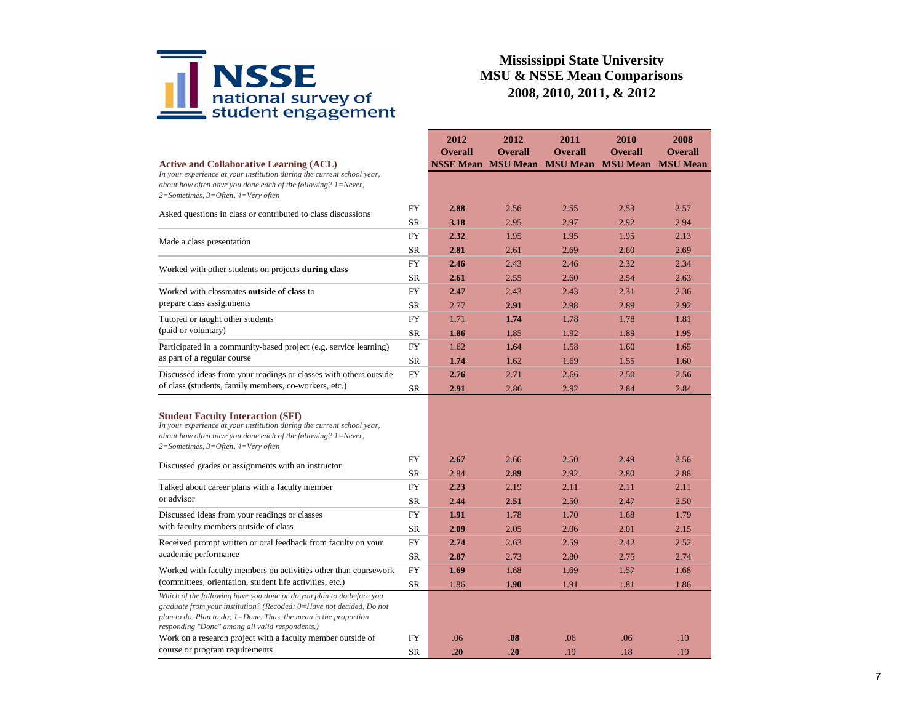

|                                                                                                                                                                                                                                                                         |            | 2012           | 2012                                        | 2011                              | 2010                              | 2008            |
|-------------------------------------------------------------------------------------------------------------------------------------------------------------------------------------------------------------------------------------------------------------------------|------------|----------------|---------------------------------------------|-----------------------------------|-----------------------------------|-----------------|
|                                                                                                                                                                                                                                                                         |            | <b>Overall</b> | <b>Overall</b><br><b>NSSE Mean MSU Mean</b> | <b>Overall</b><br><b>MSU Mean</b> | <b>Overall</b><br><b>MSU Mean</b> | <b>Overall</b>  |
| <b>Active and Collaborative Learning (ACL)</b><br>In your experience at your institution during the current school year,<br>about how often have you done each of the following? $1 =$ Never,<br>2=Sometimes, 3=Often, 4=Very often                                     |            |                |                                             |                                   |                                   | <b>MSU</b> Mean |
|                                                                                                                                                                                                                                                                         | <b>FY</b>  | 2.88           | 2.56                                        | 2.55                              | 2.53                              | 2.57            |
| Asked questions in class or contributed to class discussions                                                                                                                                                                                                            | <b>SR</b>  | 3.18           | 2.95                                        | 2.97                              | 2.92                              | 2.94            |
| Made a class presentation                                                                                                                                                                                                                                               | <b>FY</b>  | 2.32           | 1.95                                        | 1.95                              | 1.95                              | 2.13            |
|                                                                                                                                                                                                                                                                         | <b>SR</b>  | 2.81           | 2.61                                        | 2.69                              | 2.60                              | 2.69            |
| Worked with other students on projects during class                                                                                                                                                                                                                     | <b>FY</b>  | 2.46           | 2.43                                        | 2.46                              | 2.32                              | 2.34            |
|                                                                                                                                                                                                                                                                         | SR         | 2.61           | 2.55                                        | 2.60                              | 2.54                              | 2.63            |
| Worked with classmates outside of class to                                                                                                                                                                                                                              | <b>FY</b>  | 2.47           | 2.43                                        | 2.43                              | 2.31                              | 2.36            |
| prepare class assignments                                                                                                                                                                                                                                               | <b>SR</b>  | 2.77           | 2.91                                        | 2.98                              | 2.89                              | 2.92            |
| Tutored or taught other students                                                                                                                                                                                                                                        | <b>FY</b>  | 1.71           | 1.74                                        | 1.78                              | 1.78                              | 1.81            |
| (paid or voluntary)                                                                                                                                                                                                                                                     | <b>SR</b>  | 1.86           | 1.85                                        | 1.92                              | 1.89                              | 1.95            |
| Participated in a community-based project (e.g. service learning)                                                                                                                                                                                                       | FY         | 1.62           | 1.64                                        | 1.58                              | 1.60                              | 1.65            |
| as part of a regular course                                                                                                                                                                                                                                             | <b>SR</b>  | 1.74           | 1.62                                        | 1.69                              | 1.55                              | 1.60            |
| Discussed ideas from your readings or classes with others outside                                                                                                                                                                                                       | FY         | 2.76           | 2.71                                        | 2.66                              | 2.50                              | 2.56            |
| of class (students, family members, co-workers, etc.)                                                                                                                                                                                                                   | <b>SR</b>  | 2.91           | 2.86                                        | 2.92                              | 2.84                              | 2.84            |
| <b>Student Faculty Interaction (SFI)</b><br>In your experience at your institution during the current school year,<br>about how often have you done each of the following? $1 =$ Never,<br>$2$ =Sometimes, $3$ =Often, $4$ =Very often                                  |            |                |                                             |                                   |                                   |                 |
| Discussed grades or assignments with an instructor                                                                                                                                                                                                                      | <b>FY</b>  | 2.67           | 2.66                                        | 2.50                              | 2.49                              | 2.56            |
|                                                                                                                                                                                                                                                                         | SR         | 2.84           | 2.89                                        | 2.92                              | 2.80                              | 2.88            |
| Talked about career plans with a faculty member                                                                                                                                                                                                                         | FY         | 2.23           | 2.19                                        | 2.11                              | 2.11                              | 2.11            |
| or advisor                                                                                                                                                                                                                                                              | SR         | 2.44           | 2.51                                        | 2.50                              | 2.47                              | 2.50            |
| Discussed ideas from your readings or classes                                                                                                                                                                                                                           | FY         | 1.91           | 1.78                                        | 1.70                              | 1.68                              | 1.79            |
| with faculty members outside of class                                                                                                                                                                                                                                   | <b>SR</b>  | 2.09           | 2.05                                        | 2.06                              | 2.01                              | 2.15            |
| Received prompt written or oral feedback from faculty on your                                                                                                                                                                                                           | FY         | 2.74           | 2.63                                        | 2.59                              | 2.42                              | 2.52            |
| academic performance                                                                                                                                                                                                                                                    | <b>SR</b>  | 2.87           | 2.73                                        | 2.80                              | 2.75                              | 2.74            |
| Worked with faculty members on activities other than coursework                                                                                                                                                                                                         | <b>FY</b>  | 1.69           | 1.68                                        | 1.69                              | 1.57                              | 1.68            |
| (committees, orientation, student life activities, etc.)                                                                                                                                                                                                                | ${\rm SR}$ | 1.86           | 1.90                                        | 1.91                              | 1.81                              | 1.86            |
| Which of the following have you done or do you plan to do before you<br>graduate from your institution? (Recoded: 0=Have not decided, Do not<br>plan to do, Plan to do; $1 =$ Done. Thus, the mean is the proportion<br>responding "Done" among all valid respondents.) |            |                |                                             |                                   |                                   |                 |
| Work on a research project with a faculty member outside of                                                                                                                                                                                                             | <b>FY</b>  | .06            | .08                                         | .06                               | .06                               | .10             |
| course or program requirements                                                                                                                                                                                                                                          | <b>SR</b>  | .20            | .20                                         | .19                               | .18                               | .19             |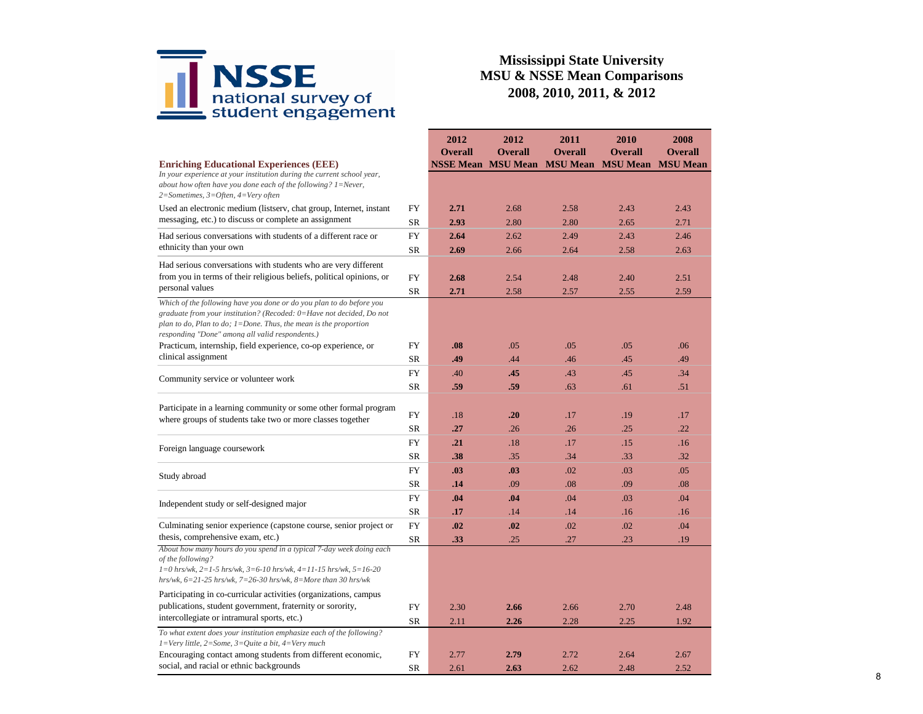

| <b>Overall</b><br><b>Overall</b><br><b>Overall</b><br><b>Overall</b><br><b>Overall</b><br><b>MSU Mean</b> MSU Mean<br><b>NSSE Mean MSU Mean</b><br><b>MSU</b> Mean<br><b>Enriching Educational Experiences (EEE)</b><br>In your experience at your institution during the current school year,<br>about how often have you done each of the following? $1 =$ Never,<br>$2=Sometimes, 3=Often, 4=Very often$<br>Used an electronic medium (listserv, chat group, Internet, instant<br><b>FY</b><br>2.71<br>2.68<br>2.58<br>2.43<br>2.43<br>messaging, etc.) to discuss or complete an assignment<br><b>SR</b><br>2.80<br>2.71<br>2.93<br>2.80<br>2.65<br><b>FY</b><br>Had serious conversations with students of a different race or<br>2.64<br>2.62<br>2.49<br>2.43<br>2.46<br>ethnicity than your own<br><b>SR</b><br>2.66<br>2.58<br>2.69<br>2.64<br>2.63<br>Had serious conversations with students who are very different<br>from you in terms of their religious beliefs, political opinions, or<br>FY<br>2.68<br>2.54<br>2.48<br>2.40<br>2.51<br>personal values<br><b>SR</b><br>2.71<br>2.58<br>2.57<br>2.55<br>2.59<br>Which of the following have you done or do you plan to do before you<br>graduate from your institution? (Recoded: 0=Have not decided, Do not<br>plan to do, Plan to do; $1 =$ Done. Thus, the mean is the proportion<br>responding "Done" among all valid respondents.)<br>FY<br>.05<br>.05<br>.05<br>Practicum, internship, field experience, co-op experience, or<br>.08<br>.06<br>clinical assignment<br><b>SR</b><br>.49<br>.44<br>.46<br>.45<br>.49<br><b>FY</b><br>.40<br>.45<br>.43<br>.45<br>.34<br>Community service or volunteer work<br><b>SR</b><br>.59<br>.59<br>.63<br>.61<br>.51<br>Participate in a learning community or some other formal program<br><b>FY</b><br>.20<br>.17<br>.19<br>.17<br>.18<br>where groups of students take two or more classes together<br><b>SR</b><br>.27<br>.26<br>.25<br>.22<br>.26<br><b>FY</b><br>.17<br>.15<br>.16<br>.21<br>.18<br>Foreign language coursework<br><b>SR</b><br>.38<br>.35<br>.34<br>.33<br>.32<br><b>FY</b><br>.03<br>.03<br>.02<br>.03<br>.05<br>Study abroad<br><b>SR</b><br>.14<br>.09<br>.08<br>.09<br>.08<br><b>FY</b><br>.04<br>.04<br>.03<br>.04<br>.04<br>Independent study or self-designed major<br><b>SR</b><br>.14<br>.16<br>.17<br>.14<br>.16<br>Culminating senior experience (capstone course, senior project or<br><b>FY</b><br>.02<br>.02<br>.02<br>.04<br>.02<br>thesis, comprehensive exam, etc.)<br><b>SR</b><br>.33<br>.25<br>.27<br>.23<br>.19<br>About how many hours do you spend in a typical 7-day week doing each<br>of the following?<br>$1=0$ hrs/wk, $2=1-5$ hrs/wk, $3=6-10$ hrs/wk, $4=11-15$ hrs/wk, $5=16-20$<br>hrs/wk, $6=21-25$ hrs/wk, $7=26-30$ hrs/wk, $8=More$ than 30 hrs/wk |  |  | 2012 | 2012 | 2011 | 2010 | 2008 |
|-------------------------------------------------------------------------------------------------------------------------------------------------------------------------------------------------------------------------------------------------------------------------------------------------------------------------------------------------------------------------------------------------------------------------------------------------------------------------------------------------------------------------------------------------------------------------------------------------------------------------------------------------------------------------------------------------------------------------------------------------------------------------------------------------------------------------------------------------------------------------------------------------------------------------------------------------------------------------------------------------------------------------------------------------------------------------------------------------------------------------------------------------------------------------------------------------------------------------------------------------------------------------------------------------------------------------------------------------------------------------------------------------------------------------------------------------------------------------------------------------------------------------------------------------------------------------------------------------------------------------------------------------------------------------------------------------------------------------------------------------------------------------------------------------------------------------------------------------------------------------------------------------------------------------------------------------------------------------------------------------------------------------------------------------------------------------------------------------------------------------------------------------------------------------------------------------------------------------------------------------------------------------------------------------------------------------------------------------------------------------------------------------------------------------------------------------------------------------------------------------------------------------------------------------------------------------------------------------------------------------------------------------------------------------------------------------------------------------------------------------------------------------------------------------------------------------|--|--|------|------|------|------|------|
|                                                                                                                                                                                                                                                                                                                                                                                                                                                                                                                                                                                                                                                                                                                                                                                                                                                                                                                                                                                                                                                                                                                                                                                                                                                                                                                                                                                                                                                                                                                                                                                                                                                                                                                                                                                                                                                                                                                                                                                                                                                                                                                                                                                                                                                                                                                                                                                                                                                                                                                                                                                                                                                                                                                                                                                                                         |  |  |      |      |      |      |      |
|                                                                                                                                                                                                                                                                                                                                                                                                                                                                                                                                                                                                                                                                                                                                                                                                                                                                                                                                                                                                                                                                                                                                                                                                                                                                                                                                                                                                                                                                                                                                                                                                                                                                                                                                                                                                                                                                                                                                                                                                                                                                                                                                                                                                                                                                                                                                                                                                                                                                                                                                                                                                                                                                                                                                                                                                                         |  |  |      |      |      |      |      |
|                                                                                                                                                                                                                                                                                                                                                                                                                                                                                                                                                                                                                                                                                                                                                                                                                                                                                                                                                                                                                                                                                                                                                                                                                                                                                                                                                                                                                                                                                                                                                                                                                                                                                                                                                                                                                                                                                                                                                                                                                                                                                                                                                                                                                                                                                                                                                                                                                                                                                                                                                                                                                                                                                                                                                                                                                         |  |  |      |      |      |      |      |
|                                                                                                                                                                                                                                                                                                                                                                                                                                                                                                                                                                                                                                                                                                                                                                                                                                                                                                                                                                                                                                                                                                                                                                                                                                                                                                                                                                                                                                                                                                                                                                                                                                                                                                                                                                                                                                                                                                                                                                                                                                                                                                                                                                                                                                                                                                                                                                                                                                                                                                                                                                                                                                                                                                                                                                                                                         |  |  |      |      |      |      |      |
|                                                                                                                                                                                                                                                                                                                                                                                                                                                                                                                                                                                                                                                                                                                                                                                                                                                                                                                                                                                                                                                                                                                                                                                                                                                                                                                                                                                                                                                                                                                                                                                                                                                                                                                                                                                                                                                                                                                                                                                                                                                                                                                                                                                                                                                                                                                                                                                                                                                                                                                                                                                                                                                                                                                                                                                                                         |  |  |      |      |      |      |      |
|                                                                                                                                                                                                                                                                                                                                                                                                                                                                                                                                                                                                                                                                                                                                                                                                                                                                                                                                                                                                                                                                                                                                                                                                                                                                                                                                                                                                                                                                                                                                                                                                                                                                                                                                                                                                                                                                                                                                                                                                                                                                                                                                                                                                                                                                                                                                                                                                                                                                                                                                                                                                                                                                                                                                                                                                                         |  |  |      |      |      |      |      |
|                                                                                                                                                                                                                                                                                                                                                                                                                                                                                                                                                                                                                                                                                                                                                                                                                                                                                                                                                                                                                                                                                                                                                                                                                                                                                                                                                                                                                                                                                                                                                                                                                                                                                                                                                                                                                                                                                                                                                                                                                                                                                                                                                                                                                                                                                                                                                                                                                                                                                                                                                                                                                                                                                                                                                                                                                         |  |  |      |      |      |      |      |
|                                                                                                                                                                                                                                                                                                                                                                                                                                                                                                                                                                                                                                                                                                                                                                                                                                                                                                                                                                                                                                                                                                                                                                                                                                                                                                                                                                                                                                                                                                                                                                                                                                                                                                                                                                                                                                                                                                                                                                                                                                                                                                                                                                                                                                                                                                                                                                                                                                                                                                                                                                                                                                                                                                                                                                                                                         |  |  |      |      |      |      |      |
|                                                                                                                                                                                                                                                                                                                                                                                                                                                                                                                                                                                                                                                                                                                                                                                                                                                                                                                                                                                                                                                                                                                                                                                                                                                                                                                                                                                                                                                                                                                                                                                                                                                                                                                                                                                                                                                                                                                                                                                                                                                                                                                                                                                                                                                                                                                                                                                                                                                                                                                                                                                                                                                                                                                                                                                                                         |  |  |      |      |      |      |      |
|                                                                                                                                                                                                                                                                                                                                                                                                                                                                                                                                                                                                                                                                                                                                                                                                                                                                                                                                                                                                                                                                                                                                                                                                                                                                                                                                                                                                                                                                                                                                                                                                                                                                                                                                                                                                                                                                                                                                                                                                                                                                                                                                                                                                                                                                                                                                                                                                                                                                                                                                                                                                                                                                                                                                                                                                                         |  |  |      |      |      |      |      |
|                                                                                                                                                                                                                                                                                                                                                                                                                                                                                                                                                                                                                                                                                                                                                                                                                                                                                                                                                                                                                                                                                                                                                                                                                                                                                                                                                                                                                                                                                                                                                                                                                                                                                                                                                                                                                                                                                                                                                                                                                                                                                                                                                                                                                                                                                                                                                                                                                                                                                                                                                                                                                                                                                                                                                                                                                         |  |  |      |      |      |      |      |
|                                                                                                                                                                                                                                                                                                                                                                                                                                                                                                                                                                                                                                                                                                                                                                                                                                                                                                                                                                                                                                                                                                                                                                                                                                                                                                                                                                                                                                                                                                                                                                                                                                                                                                                                                                                                                                                                                                                                                                                                                                                                                                                                                                                                                                                                                                                                                                                                                                                                                                                                                                                                                                                                                                                                                                                                                         |  |  |      |      |      |      |      |
|                                                                                                                                                                                                                                                                                                                                                                                                                                                                                                                                                                                                                                                                                                                                                                                                                                                                                                                                                                                                                                                                                                                                                                                                                                                                                                                                                                                                                                                                                                                                                                                                                                                                                                                                                                                                                                                                                                                                                                                                                                                                                                                                                                                                                                                                                                                                                                                                                                                                                                                                                                                                                                                                                                                                                                                                                         |  |  |      |      |      |      |      |
|                                                                                                                                                                                                                                                                                                                                                                                                                                                                                                                                                                                                                                                                                                                                                                                                                                                                                                                                                                                                                                                                                                                                                                                                                                                                                                                                                                                                                                                                                                                                                                                                                                                                                                                                                                                                                                                                                                                                                                                                                                                                                                                                                                                                                                                                                                                                                                                                                                                                                                                                                                                                                                                                                                                                                                                                                         |  |  |      |      |      |      |      |
|                                                                                                                                                                                                                                                                                                                                                                                                                                                                                                                                                                                                                                                                                                                                                                                                                                                                                                                                                                                                                                                                                                                                                                                                                                                                                                                                                                                                                                                                                                                                                                                                                                                                                                                                                                                                                                                                                                                                                                                                                                                                                                                                                                                                                                                                                                                                                                                                                                                                                                                                                                                                                                                                                                                                                                                                                         |  |  |      |      |      |      |      |
|                                                                                                                                                                                                                                                                                                                                                                                                                                                                                                                                                                                                                                                                                                                                                                                                                                                                                                                                                                                                                                                                                                                                                                                                                                                                                                                                                                                                                                                                                                                                                                                                                                                                                                                                                                                                                                                                                                                                                                                                                                                                                                                                                                                                                                                                                                                                                                                                                                                                                                                                                                                                                                                                                                                                                                                                                         |  |  |      |      |      |      |      |
|                                                                                                                                                                                                                                                                                                                                                                                                                                                                                                                                                                                                                                                                                                                                                                                                                                                                                                                                                                                                                                                                                                                                                                                                                                                                                                                                                                                                                                                                                                                                                                                                                                                                                                                                                                                                                                                                                                                                                                                                                                                                                                                                                                                                                                                                                                                                                                                                                                                                                                                                                                                                                                                                                                                                                                                                                         |  |  |      |      |      |      |      |
|                                                                                                                                                                                                                                                                                                                                                                                                                                                                                                                                                                                                                                                                                                                                                                                                                                                                                                                                                                                                                                                                                                                                                                                                                                                                                                                                                                                                                                                                                                                                                                                                                                                                                                                                                                                                                                                                                                                                                                                                                                                                                                                                                                                                                                                                                                                                                                                                                                                                                                                                                                                                                                                                                                                                                                                                                         |  |  |      |      |      |      |      |
|                                                                                                                                                                                                                                                                                                                                                                                                                                                                                                                                                                                                                                                                                                                                                                                                                                                                                                                                                                                                                                                                                                                                                                                                                                                                                                                                                                                                                                                                                                                                                                                                                                                                                                                                                                                                                                                                                                                                                                                                                                                                                                                                                                                                                                                                                                                                                                                                                                                                                                                                                                                                                                                                                                                                                                                                                         |  |  |      |      |      |      |      |
|                                                                                                                                                                                                                                                                                                                                                                                                                                                                                                                                                                                                                                                                                                                                                                                                                                                                                                                                                                                                                                                                                                                                                                                                                                                                                                                                                                                                                                                                                                                                                                                                                                                                                                                                                                                                                                                                                                                                                                                                                                                                                                                                                                                                                                                                                                                                                                                                                                                                                                                                                                                                                                                                                                                                                                                                                         |  |  |      |      |      |      |      |
|                                                                                                                                                                                                                                                                                                                                                                                                                                                                                                                                                                                                                                                                                                                                                                                                                                                                                                                                                                                                                                                                                                                                                                                                                                                                                                                                                                                                                                                                                                                                                                                                                                                                                                                                                                                                                                                                                                                                                                                                                                                                                                                                                                                                                                                                                                                                                                                                                                                                                                                                                                                                                                                                                                                                                                                                                         |  |  |      |      |      |      |      |
|                                                                                                                                                                                                                                                                                                                                                                                                                                                                                                                                                                                                                                                                                                                                                                                                                                                                                                                                                                                                                                                                                                                                                                                                                                                                                                                                                                                                                                                                                                                                                                                                                                                                                                                                                                                                                                                                                                                                                                                                                                                                                                                                                                                                                                                                                                                                                                                                                                                                                                                                                                                                                                                                                                                                                                                                                         |  |  |      |      |      |      |      |
|                                                                                                                                                                                                                                                                                                                                                                                                                                                                                                                                                                                                                                                                                                                                                                                                                                                                                                                                                                                                                                                                                                                                                                                                                                                                                                                                                                                                                                                                                                                                                                                                                                                                                                                                                                                                                                                                                                                                                                                                                                                                                                                                                                                                                                                                                                                                                                                                                                                                                                                                                                                                                                                                                                                                                                                                                         |  |  |      |      |      |      |      |
|                                                                                                                                                                                                                                                                                                                                                                                                                                                                                                                                                                                                                                                                                                                                                                                                                                                                                                                                                                                                                                                                                                                                                                                                                                                                                                                                                                                                                                                                                                                                                                                                                                                                                                                                                                                                                                                                                                                                                                                                                                                                                                                                                                                                                                                                                                                                                                                                                                                                                                                                                                                                                                                                                                                                                                                                                         |  |  |      |      |      |      |      |
| Participating in co-curricular activities (organizations, campus<br>publications, student government, fraternity or sorority,<br>FY<br>2.30<br>2.66<br>2.66<br>2.70<br>2.48<br>intercollegiate or intramural sports, etc.)                                                                                                                                                                                                                                                                                                                                                                                                                                                                                                                                                                                                                                                                                                                                                                                                                                                                                                                                                                                                                                                                                                                                                                                                                                                                                                                                                                                                                                                                                                                                                                                                                                                                                                                                                                                                                                                                                                                                                                                                                                                                                                                                                                                                                                                                                                                                                                                                                                                                                                                                                                                              |  |  |      |      |      |      |      |
| <b>SR</b><br>2.26<br>2.28<br>2.25<br>1.92<br>2.11                                                                                                                                                                                                                                                                                                                                                                                                                                                                                                                                                                                                                                                                                                                                                                                                                                                                                                                                                                                                                                                                                                                                                                                                                                                                                                                                                                                                                                                                                                                                                                                                                                                                                                                                                                                                                                                                                                                                                                                                                                                                                                                                                                                                                                                                                                                                                                                                                                                                                                                                                                                                                                                                                                                                                                       |  |  |      |      |      |      |      |
| To what extent does your institution emphasize each of the following?<br>$1 = \text{Very little}, 2 = \text{Some}, 3 = \text{Quite}, 4 = \text{Very much}$<br><b>FY</b><br>2.77<br>2.79<br>2.72<br>2.64<br>2.67<br>Encouraging contact among students from different economic,                                                                                                                                                                                                                                                                                                                                                                                                                                                                                                                                                                                                                                                                                                                                                                                                                                                                                                                                                                                                                                                                                                                                                                                                                                                                                                                                                                                                                                                                                                                                                                                                                                                                                                                                                                                                                                                                                                                                                                                                                                                                                                                                                                                                                                                                                                                                                                                                                                                                                                                                          |  |  |      |      |      |      |      |
| social, and racial or ethnic backgrounds<br><b>SR</b><br>2.62<br>2.48<br>2.52<br>2.61<br>2.63                                                                                                                                                                                                                                                                                                                                                                                                                                                                                                                                                                                                                                                                                                                                                                                                                                                                                                                                                                                                                                                                                                                                                                                                                                                                                                                                                                                                                                                                                                                                                                                                                                                                                                                                                                                                                                                                                                                                                                                                                                                                                                                                                                                                                                                                                                                                                                                                                                                                                                                                                                                                                                                                                                                           |  |  |      |      |      |      |      |